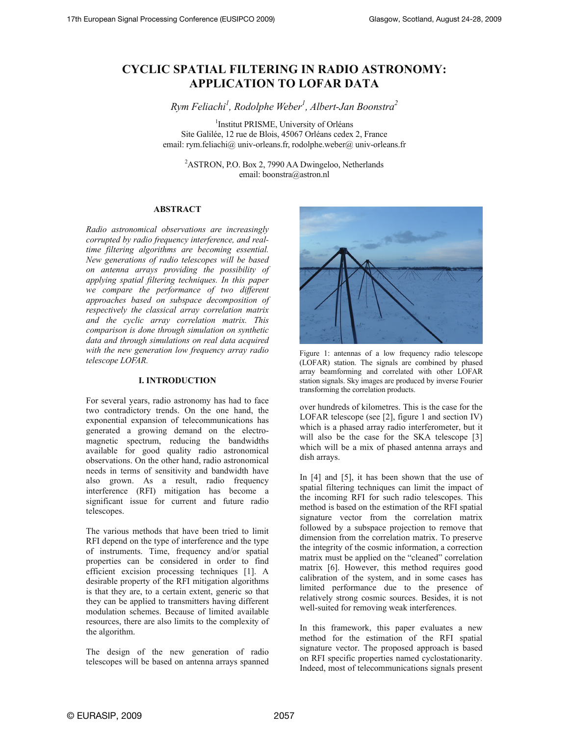# **CYCLIC SPATIAL FILTERING IN RADIO ASTRONOMY: APPLICATION TO LOFAR DATA**

*Rym Feliachi1 , Rodolphe Weber1 , Albert-Jan Boonstra2*

1 Institut PRISME, University of Orléans Site Galilée, 12 rue de Blois, 45067 Orléans cedex 2, France email: rym.feliachi@ univ-orleans.fr, rodolphe.weber@ univ-orleans.fr

<sup>2</sup>ASTRON, P.O. Box 2, 7990 AA Dwingeloo, Netherlands email: boonstra@astron.nl

# **ABSTRACT**

*Radio astronomical observations are increasingly corrupted by radio frequency interference, and realtime filtering algorithms are becoming essential. New generations of radio telescopes will be based on antenna arrays providing the possibility of applying spatial filtering techniques. In this paper we compare the performance of two different approaches based on subspace decomposition of respectively the classical array correlation matrix and the cyclic array correlation matrix. This comparison is done through simulation on synthetic data and through simulations on real data acquired with the new generation low frequency array radio telescope LOFAR.* 

# **I. INTRODUCTION**

For several years, radio astronomy has had to face two contradictory trends. On the one hand, the exponential expansion of telecommunications has generated a growing demand on the electromagnetic spectrum, reducing the bandwidths available for good quality radio astronomical observations. On the other hand, radio astronomical needs in terms of sensitivity and bandwidth have also grown. As a result, radio frequency interference (RFI) mitigation has become a significant issue for current and future radio telescopes.

The various methods that have been tried to limit RFI depend on the type of interference and the type of instruments. Time, frequency and/or spatial properties can be considered in order to find efficient excision processing techniques [1]. A desirable property of the RFI mitigation algorithms is that they are, to a certain extent, generic so that they can be applied to transmitters having different modulation schemes. Because of limited available resources, there are also limits to the complexity of the algorithm.

The design of the new generation of radio telescopes will be based on antenna arrays spanned



Figure 1: antennas of a low frequency radio telescope (LOFAR) station. The signals are combined by phased array beamforming and correlated with other LOFAR station signals. Sky images are produced by inverse Fourier transforming the correlation products.

over hundreds of kilometres. This is the case for the LOFAR telescope (see [2], figure 1 and section IV) which is a phased array radio interferometer, but it will also be the case for the SKA telescope [3] which will be a mix of phased antenna arrays and dish arrays.

In [4] and [5], it has been shown that the use of spatial filtering techniques can limit the impact of the incoming RFI for such radio telescopes. This method is based on the estimation of the RFI spatial signature vector from the correlation matrix followed by a subspace projection to remove that dimension from the correlation matrix. To preserve the integrity of the cosmic information, a correction matrix must be applied on the "cleaned" correlation matrix [6]. However, this method requires good calibration of the system, and in some cases has limited performance due to the presence of relatively strong cosmic sources. Besides, it is not well-suited for removing weak interferences.

In this framework, this paper evaluates a new method for the estimation of the RFI spatial signature vector. The proposed approach is based on RFI specific properties named cyclostationarity. Indeed, most of telecommunications signals present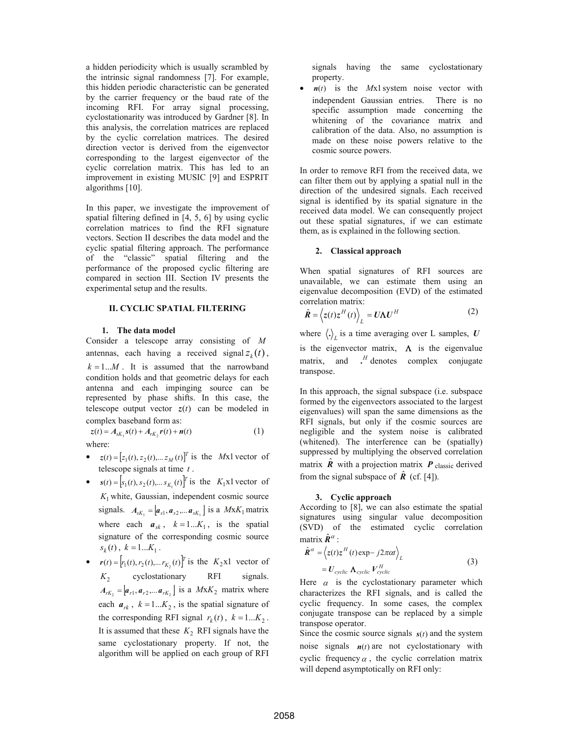a hidden periodicity which is usually scrambled by the intrinsic signal randomness [7]. For example, this hidden periodic characteristic can be generated by the carrier frequency or the baud rate of the incoming RFI. For array signal processing, cyclostationarity was introduced by Gardner [8]. In this analysis, the correlation matrices are replaced by the cyclic correlation matrices. The desired direction vector is derived from the eigenvector corresponding to the largest eigenvector of the cyclic correlation matrix. This has led to an improvement in existing MUSIC [9] and ESPRIT algorithms [10].

In this paper, we investigate the improvement of spatial filtering defined in [4, 5, 6] by using cyclic correlation matrices to find the RFI signature vectors. Section II describes the data model and the cyclic spatial filtering approach. The performance of the "classic" spatial filtering and the performance of the proposed cyclic filtering are compared in section III. Section IV presents the experimental setup and the results.

# **II. CYCLIC SPATIAL FILTERING**

#### **1. The data model**

Consider a telescope array consisting of *M* antennas, each having a received signal  $z_k(t)$ ,  $k = 1...M$ . It is assumed that the narrowband condition holds and that geometric delays for each antenna and each impinging source can be represented by phase shifts. In this case, the telescope output vector  $z(t)$  can be modeled in complex baseband form as:

where:

•  $z(t) = [z_1(t), z_2(t), \dots z_M(t)]^T$  is the *Mx1* vector of telescope signals at time *t* .

 $z(t) = A_{sK_1} s(t) + A_{rK_2} r(t) + n(t)$  (1)

- $s(t) = [s_1(t), s_2(t), \dots s_{K_1}(t)]^T$  is the *K*<sub>1</sub>x1 vector of  $K_1$  white, Gaussian, independent cosmic source signals.  $A_{sK_1} = [ a_{s1}, a_{s2}, ... a_{sK_1} ]$  is a  $MxK_1$  matrix where each  $a_{sk}$ ,  $k = 1...K_1$ , is the spatial signature of the corresponding cosmic source  $s_k(t)$ ,  $k = 1...K_1$ .
- $\mathbf{r}(t) = [r_1(t), r_2(t), \dots r_{K_2}(t)]^T$  is the  $K_2$ x1 vector of  $K<sub>2</sub>$  cyclostationary RFI signals.  $A_{rK_2} = [ a_{r1}, a_{r2}, \dots, a_{rK_2} ]$  is a *MxK*<sub>2</sub> matrix where each  $a_{rk}$ ,  $k = 1...K_2$ , is the spatial signature of the corresponding RFI signal  $r_k(t)$ ,  $k = 1...K_2$ . It is assumed that these  $K_2$  RFI signals have the same cyclostationary property. If not, the algorithm will be applied on each group of RFI

signals having the same cyclostationary property.

• *n*(*t*) is the *Mx1* system noise vector with independent Gaussian entries. There is no specific assumption made concerning the whitening of the covariance matrix and calibration of the data. Also, no assumption is made on these noise powers relative to the cosmic source powers.

In order to remove RFI from the received data, we can filter them out by applying a spatial null in the direction of the undesired signals. Each received signal is identified by its spatial signature in the received data model. We can consequently project out these spatial signatures, if we can estimate them, as is explained in the following section.

## **2. Classical approach**

When spatial signatures of RFI sources are unavailable, we can estimate them using an eigenvalue decomposition (EVD) of the estimated correlation matrix:

$$
\hat{\boldsymbol{R}} = \left\langle z(t) z^H(t) \right\rangle_L = U \boldsymbol{\Lambda} U^H
$$
 (2)

where  $\langle . \rangle_{L}$  is a time averaging over L samples, *U* is the eigenvector matrix,  $\Lambda$  is the eigenvalue matrix, and *H* denotes complex conjugate transpose.

In this approach, the signal subspace (i.e. subspace formed by the eigenvectors associated to the largest eigenvalues) will span the same dimensions as the RFI signals, but only if the cosmic sources are negligible and the system noise is calibrated (whitened). The interference can be (spatially) suppressed by multiplying the observed correlation matrix  $\hat{\textbf{R}}$  with a projection matrix  $\textbf{\textit{P}}$  classic derived from the signal subspace of  $\hat{R}$  (cf. [4]).

#### **3. Cyclic approach**

According to [8], we can also estimate the spatial signatures using singular value decomposition (SVD) of the estimated cyclic correlation matrix  $\hat{\mathbf{R}}^{\alpha}$  :

$$
\hat{\mathbf{R}}^{\alpha} = \left\langle z(t)z^{H}(t) \exp - j2\pi\alpha t \right\rangle_{L}
$$
\n
$$
= U_{cyclic} \Lambda_{cyclic} V_{cyclic}^{H}
$$
\n(3)

Here  $\alpha$  is the cyclostationary parameter which characterizes the RFI signals, and is called the cyclic frequency. In some cases, the complex conjugate transpose can be replaced by a simple transpose operator.

Since the cosmic source signals  $s(t)$  and the system noise signals  $n(t)$  are not cyclostationary with cyclic frequency  $\alpha$ , the cyclic correlation matrix will depend asymptotically on RFI only: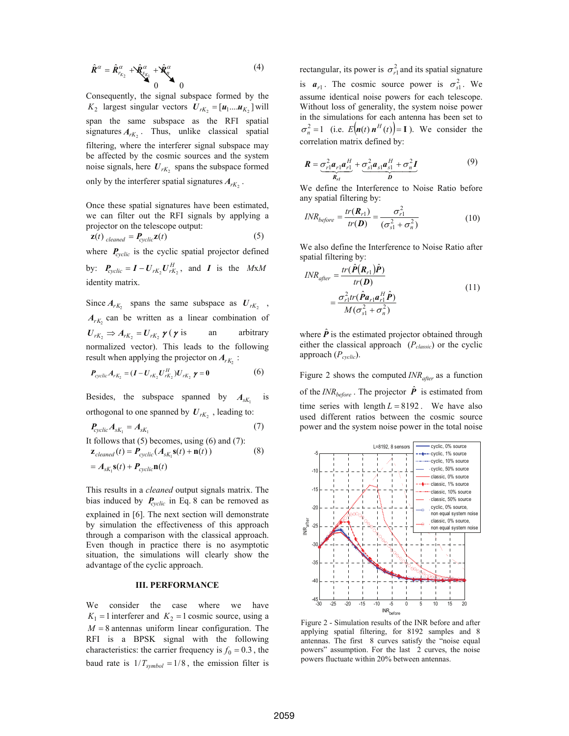$$
\hat{\mathbf{R}}^{\alpha} = \hat{\mathbf{R}}_{r_{K_2}}^{\alpha} + \hat{\mathbf{X}}_{\xi_{K_1}}^{\alpha} + \hat{\mathbf{X}}_{\xi_{K_2}}^{\alpha}
$$
(4)

Consequently, the signal subspace formed by the  $K_2$  largest singular vectors  $U_{rK_2} = [u_1 ... u_{K_2}]$  will span the same subspace as the RFI spatial signatures  $A_{rK_2}$ . Thus, unlike classical spatial filtering, where the interferer signal subspace may be affected by the cosmic sources and the system noise signals, here  $U_{rK_2}$  spans the subspace formed only by the interferer spatial signatures  $A_{rK_2}$ .

Once these spatial signatures have been estimated, we can filter out the RFI signals by applying a projector on the telescope output:

$$
\mathbf{z}(t)_{cleaned} = \mathbf{P}_{cyclic}\mathbf{z}(t) \tag{5}
$$

where  $P_{cyclic}$  is the cyclic spatial projector defined

by:  $P_{\text{cyclic}} = I - U_{rK_2} U_{rK_2}^H$ , and *I* is the *MxM* identity matrix.

Since  $A_{rK_2}$  spans the same subspace as  $U_{rK_2}$ ,  $A_{rk}$  can be written as a linear combination of  $U_{rK_2} \Rightarrow A_{rK_2} = U_{rK_2} \gamma(\gamma)$  is an arbitrary normalized vector). This leads to the following result when applying the projector on  $A_{rk}$ :

$$
P_{cyclic} A_{rK_2} = (I - U_{rK_2} U_{rK_2}^H) U_{rK_2} \gamma = 0
$$
 (6)

Besides, the subspace spanned by  $A_{sK_1}$  is orthogonal to one spanned by  $U_{rK_2}$ , leading to:

$$
P_{cyclic} A_{sK_1} = A_{sK_1}
$$
 (7)  
It follows that (5) becomes, using (6) and (7):

$$
\mathbf{z}_{cleaned}(t) = \mathbf{P}_{cyclic}(\mathbf{A}_{sK_1}\mathbf{s}(t) + \mathbf{n}(t))
$$
\n
$$
= \mathbf{A}_{sK_1}\mathbf{s}(t) + \mathbf{P}_{cyclic}\mathbf{n}(t)
$$
\n(8)

This results in a *cleaned* output signals matrix. The bias induced by *Pcyclic* in Eq. 8 can be removed as explained in [6]. The next section will demonstrate by simulation the effectiveness of this approach through a comparison with the classical approach. Even though in practice there is no asymptotic situation, the simulations will clearly show the advantage of the cyclic approach.

#### **III. PERFORMANCE**

We consider the case where we have  $K_1 = 1$  interferer and  $K_2 = 1$  cosmic source, using a  $M = 8$  antennas uniform linear configuration. The RFI is a BPSK signal with the following characteristics: the carrier frequency is  $f_0 = 0.3$ , the baud rate is  $1/T_{symbol} = 1/8$ , the emission filter is rectangular, its power is  $\sigma_{r1}^2$  and its spatial signature is  $a_{r1}$ . The cosmic source power is  $\sigma_{s1}^2$ . We assume identical noise powers for each telescope. Without loss of generality, the system noise power in the simulations for each antenna has been set to  $\sigma_n^2 = 1$  (i.e.  $E(n(t) n^H(t)) = 1$ ). We consider the correlation matrix defined by:

$$
\boldsymbol{R} = \underbrace{\sigma_{r1}^2 \boldsymbol{a}_{r1} \boldsymbol{a}_{r1}^H}_{\boldsymbol{R}_{r1}} + \underbrace{\sigma_{s1}^2 \boldsymbol{a}_{s1} \boldsymbol{a}_{s1}^H + \sigma_n^2 \boldsymbol{I}}_{\boldsymbol{D}} \tag{9}
$$

We define the Interference to Noise Ratio before any spatial filtering by:

$$
INR_{before} = \frac{tr(\boldsymbol{R}_{r1})}{tr(\boldsymbol{D})} = \frac{\sigma_{r1}^2}{(\sigma_{s1}^2 + \sigma_n^2)}
$$
(10)

We also define the Interference to Noise Ratio after spatial filtering by:

$$
INR_{after} = \frac{tr(\hat{P}(R_{r1})\hat{P})}{tr(D)}
$$
  
= 
$$
\frac{\sigma_{r1}^2 tr(\hat{P}a_{r1}a_{r1}^H \hat{P})}{M(\sigma_{s1}^2 + \sigma_n^2)}
$$
 (11)

where  $\hat{P}$  is the estimated projector obtained through either the classical approach (*Pclassic*) or the cyclic approach ( $P_{cyclic}$ ).

Figure 2 shows the computed  $INR_{after}$  as a function of the  $INR_{before}$ . The projector  $\hat{P}$  is estimated from time series with length  $L = 8192$ . We have also used different ratios between the cosmic source power and the system noise power in the total noise



Figure 2 - Simulation results of the INR before and after applying spatial filtering, for 8192 samples and 8 antennas. The first 8 curves satisfy the "noise equal powers" assumption. For the last 2 curves, the noise powers fluctuate within 20% between antennas.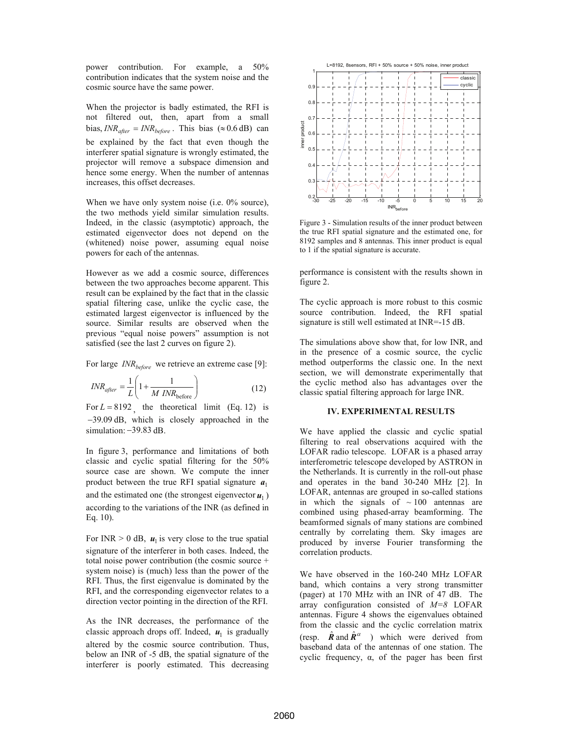power contribution. For example, a 50% contribution indicates that the system noise and the cosmic source have the same power.

When the projector is badly estimated, the RFI is not filtered out, then, apart from a small bias,  $INR_{after} = INR_{before}$ . This bias (≈ 0.6 dB) can be explained by the fact that even though the interferer spatial signature is wrongly estimated, the projector will remove a subspace dimension and hence some energy. When the number of antennas increases, this offset decreases.

When we have only system noise (i.e. 0% source), the two methods yield similar simulation results. Indeed, in the classic (asymptotic) approach, the estimated eigenvector does not depend on the (whitened) noise power, assuming equal noise powers for each of the antennas.

However as we add a cosmic source, differences between the two approaches become apparent. This result can be explained by the fact that in the classic spatial filtering case, unlike the cyclic case, the estimated largest eigenvector is influenced by the source. Similar results are observed when the previous "equal noise powers" assumption is not satisfied (see the last 2 curves on figure 2).

For large *INR*<sub>hefore</sub> we retrieve an extreme case [9]:

$$
INR_{after} = \frac{1}{L} \left( 1 + \frac{1}{M \, INR_{before}} \right) \tag{12}
$$

For  $L = 8192$ , the theoretical limit (Eq. 12) is −39.09 dB, which is closely approached in the simulation: −39.83 dB.

In figure 3, performance and limitations of both classic and cyclic spatial filtering for the 50% source case are shown. We compute the inner product between the true RFI spatial signature  $a_1$ and the estimated one (the strongest eigenvector  $\mathbf{u}_1$ ) according to the variations of the INR (as defined in Eq. 10).

For INR  $> 0$  dB,  $u_1$  is very close to the true spatial signature of the interferer in both cases. Indeed, the total noise power contribution (the cosmic source + system noise) is (much) less than the power of the RFI. Thus, the first eigenvalue is dominated by the RFI, and the corresponding eigenvector relates to a direction vector pointing in the direction of the RFI.

As the INR decreases, the performance of the classic approach drops off. Indeed,  $u_1$  is gradually altered by the cosmic source contribution. Thus, below an INR of -5 dB, the spatial signature of the interferer is poorly estimated. This decreasing



Figure 3 - Simulation results of the inner product between the true RFI spatial signature and the estimated one, for 8192 samples and 8 antennas. This inner product is equal to 1 if the spatial signature is accurate.

performance is consistent with the results shown in figure 2.

The cyclic approach is more robust to this cosmic source contribution. Indeed, the RFI spatial signature is still well estimated at INR=-15 dB.

The simulations above show that, for low INR, and in the presence of a cosmic source, the cyclic method outperforms the classic one. In the next section, we will demonstrate experimentally that the cyclic method also has advantages over the classic spatial filtering approach for large INR.

## **IV. EXPERIMENTAL RESULTS**

We have applied the classic and cyclic spatial filtering to real observations acquired with the LOFAR radio telescope. LOFAR is a phased array interferometric telescope developed by ASTRON in the Netherlands. It is currently in the roll-out phase and operates in the band 30-240 MHz [2]. In LOFAR, antennas are grouped in so-called stations in which the signals of  $\sim 100$  antennas are combined using phased-array beamforming. The beamformed signals of many stations are combined centrally by correlating them. Sky images are produced by inverse Fourier transforming the correlation products.

We have observed in the 160-240 MHz LOFAR band, which contains a very strong transmitter (pager) at 170 MHz with an INR of 47 dB. The array configuration consisted of *M=8* LOFAR antennas. Figure 4 shows the eigenvalues obtained from the classic and the cyclic correlation matrix (resp.  $\hat{\mathbf{R}}$  and  $\hat{\mathbf{R}}^{\alpha}$  ) which were derived from baseband data of the antennas of one station. The cyclic frequency,  $\alpha$ , of the pager has been first